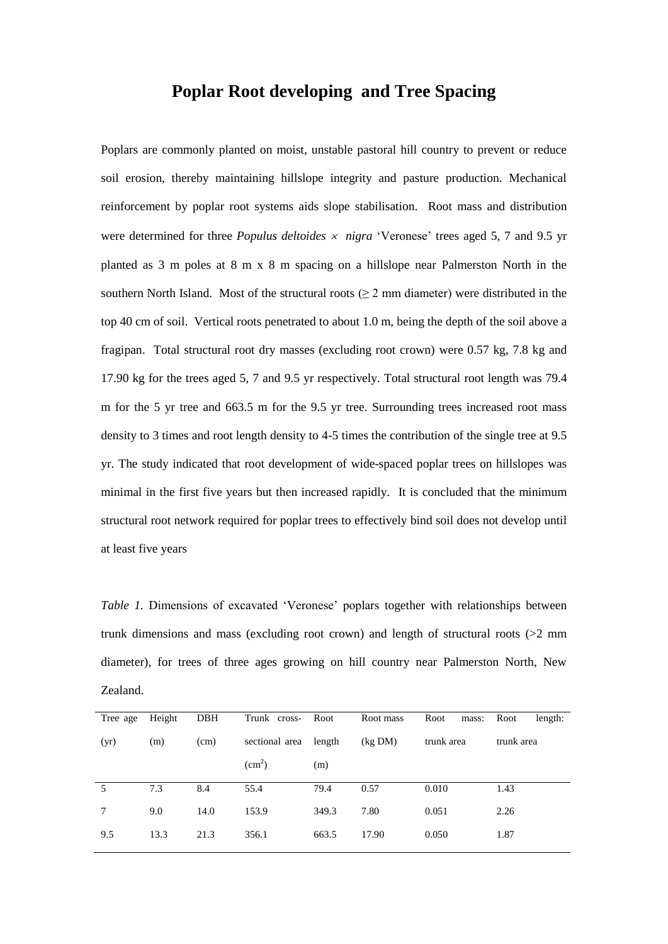## **Poplar Root developing and Tree Spacing**

Poplars are commonly planted on moist, unstable pastoral hill country to prevent or reduce soil erosion, thereby maintaining hillslope integrity and pasture production. Mechanical reinforcement by poplar root systems aids slope stabilisation. Root mass and distribution were determined for three *Populus deltoides*  $\times$  *nigra* 'Veronese' trees aged 5, 7 and 9.5 yr planted as 3 m poles at 8 m x 8 m spacing on a hillslope near Palmerston North in the southern North Island. Most of the structural roots  $(≥ 2$  mm diameter) were distributed in the top 40 cm of soil. Vertical roots penetrated to about 1.0 m, being the depth of the soil above a fragipan. Total structural root dry masses (excluding root crown) were 0.57 kg, 7.8 kg and 17.90 kg for the trees aged 5, 7 and 9.5 yr respectively. Total structural root length was 79.4 m for the 5 yr tree and 663.5 m for the 9.5 yr tree. Surrounding trees increased root mass density to 3 times and root length density to 4-5 times the contribution of the single tree at 9.5 yr. The study indicated that root development of wide-spaced poplar trees on hillslopes was minimal in the first five years but then increased rapidly. It is concluded that the minimum structural root network required for poplar trees to effectively bind soil does not develop until at least five years

*Table 1.* Dimensions of excavated 'Veronese' poplars together with relationships between trunk dimensions and mass (excluding root crown) and length of structural roots (>2 mm diameter), for trees of three ages growing on hill country near Palmerston North, New Zealand.

| Tree age | Height | DBH  | Trunk cross-    | Root   | Root mass | Root<br>mass: | Root<br>length: |
|----------|--------|------|-----------------|--------|-----------|---------------|-----------------|
| (yr)     | (m)    | (cm) | sectional area  | length | (kg DM)   | trunk area    | trunk area      |
|          |        |      | $\text{cm}^2$ ) | (m)    |           |               |                 |
| 5        | 7.3    | 8.4  | 55.4            | 79.4   | 0.57      | 0.010         | 1.43            |
| 7        | 9.0    | 14.0 | 153.9           | 349.3  | 7.80      | 0.051         | 2.26            |
| 9.5      | 13.3   | 21.3 | 356.1           | 663.5  | 17.90     | 0.050         | 1.87            |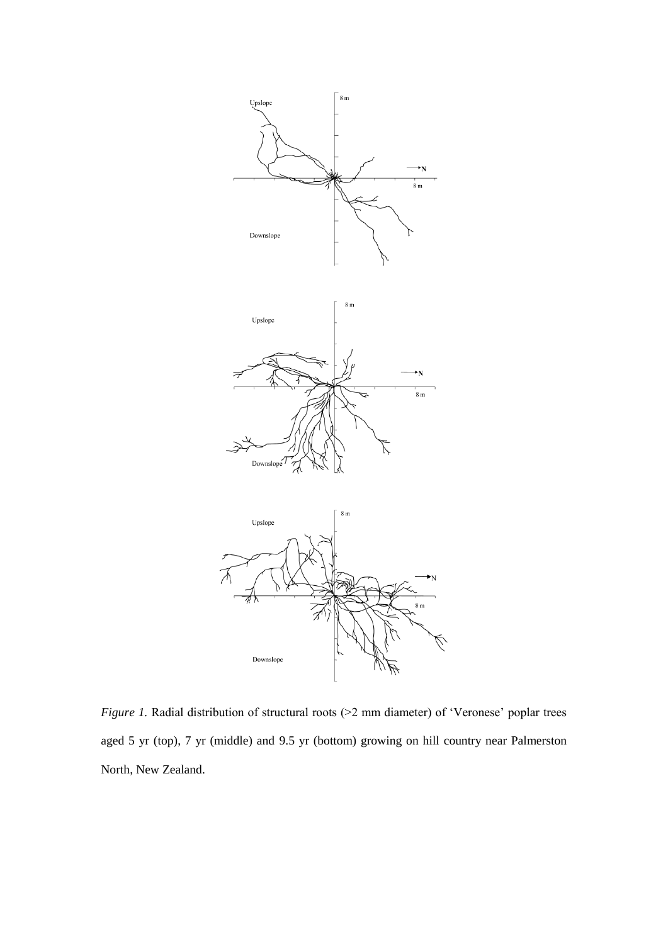

*Figure 1.* Radial distribution of structural roots (>2 mm diameter) of 'Veronese' poplar trees aged 5 yr (top), 7 yr (middle) and 9.5 yr (bottom) growing on hill country near Palmerston North, New Zealand.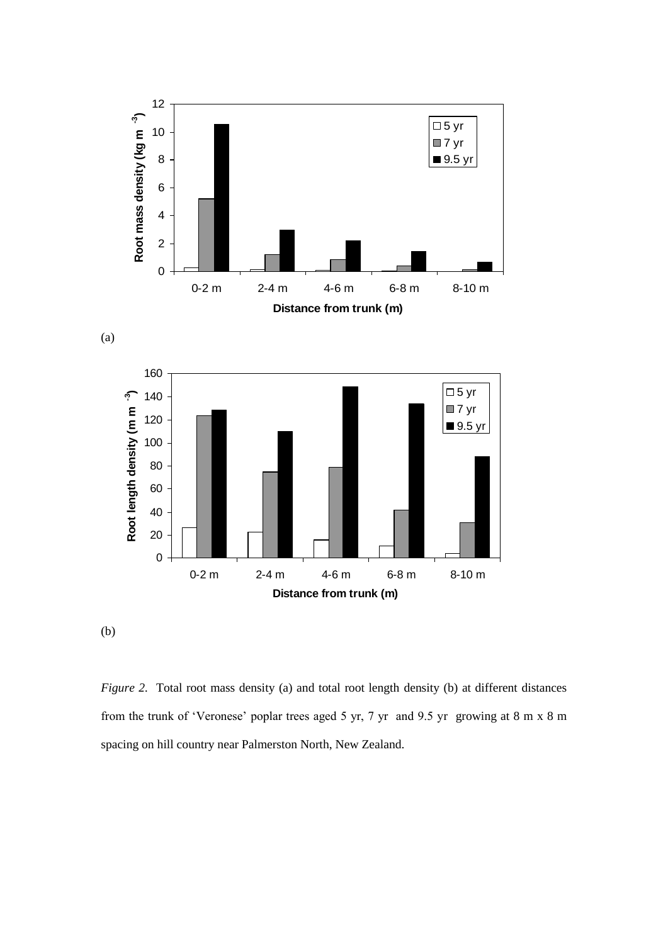







(b)

*Figure 2.* Total root mass density (a) and total root length density (b) at different distances from the trunk of 'Veronese' poplar trees aged 5 yr, 7 yr and 9.5 yr growing at 8 m x 8 m spacing on hill country near Palmerston North, New Zealand.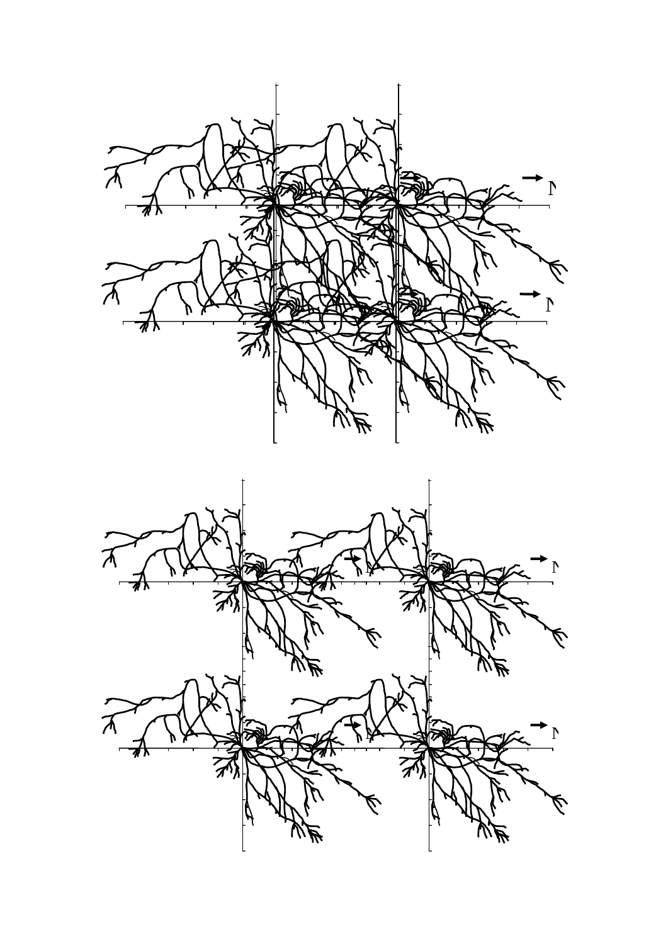